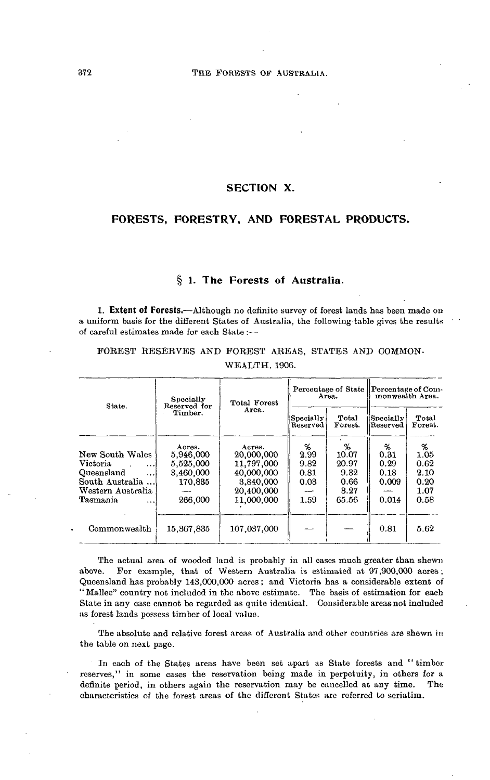# **SECTION X.**

# **FORESTS, FORESTRY, AND FORESTAL PRODUCTS.**

# **§ 1. The Forests of Australia.**

**1. Extent of Forests.**—Although no definite survey of forest lands has been made on a uniform basis for the different States of Australia, the folio wing-table gives the results of careful estimates made for each State :—

FOREST RESERVES AND FOREST AREAS, STATES AND COMMON-WEALTH, 1906.

| State.                                                                                                                             | Specially<br>Reserved for                                           | Total Forest                                                                              |                                           | Percentage of State  <br>Area.                       | Percentage of Com-<br>monwealth Area.       |                                                   |  |
|------------------------------------------------------------------------------------------------------------------------------------|---------------------------------------------------------------------|-------------------------------------------------------------------------------------------|-------------------------------------------|------------------------------------------------------|---------------------------------------------|---------------------------------------------------|--|
|                                                                                                                                    | Timber.                                                             | Area.                                                                                     | Specially <br>Reserved                    | Total<br>Forest.                                     | Specially<br>Reserved                       | Total<br>Forest.                                  |  |
| New South Wales<br>Victoria<br>$\cdots$<br>Queensland<br>$\cdots$<br>South Australia<br>Western Australia<br>Tasmania<br>$\ddotsc$ | Acres.<br>5.946,000<br>5,525,000<br>3.460,000<br>170.835<br>266,000 | Acres.<br>20,000,000<br>11,797,000<br>40,000,000<br>3,840,000<br>20,400,000<br>11.000,000 | %<br>2.99<br>9.82<br>0.81<br>0.03<br>1.59 | %<br>10.07<br>20.97<br>9.32<br>0.66<br>3.27<br>65.56 | %<br>0.31<br>0.29<br>0.18<br>0.009<br>0.014 | %<br>1.05<br>0.62<br>2.10<br>0.20<br>1.07<br>0.58 |  |
| Commonwealth                                                                                                                       | 15, 367, 835                                                        | 107,037,000                                                                               |                                           |                                                      | 0.81                                        | 5.62                                              |  |

The actual area of wooded land is probably in all cases much greater than shewn above. For example, that of Western Australia is estimated at 97,900,000 acres ; Queensland has probably 143,000,000 acres; and Victoria has a considerable extent of " Mallee" country not included in the above estimate. The basis of estimation for each State in any case cannot be regarded as quite identical. Considerable areas not included as forest lands possess timber of local valuo.

The absolute and relative forest areas of Australia and other countries are shewn in the table on next page.

In each of the States areas have been set apart as State forests and '' timber reserves," in some cases the reservation being made in perpetuity, in others for a definite period, in others again the reservation may be cancelled at any time. The characteristics of the forest areas of the different States are referred to seriatim.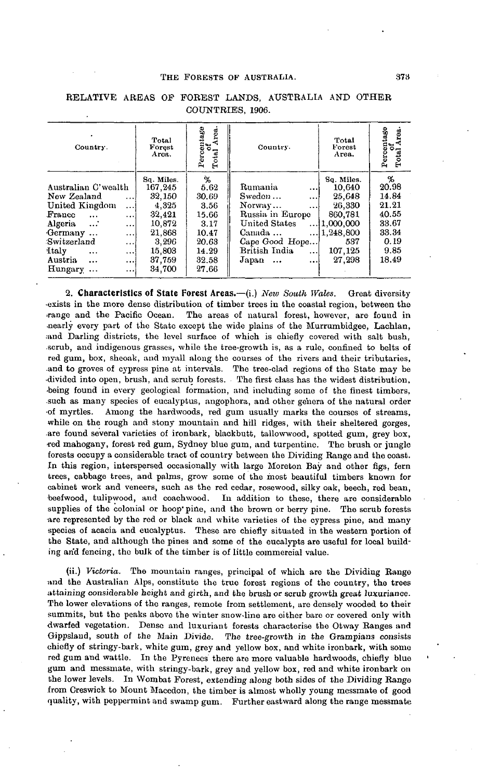## THE FORESTS OF AUSTRALIA. 378

|                                                                                                                                                                                                                                                                 |                                                                                                               |                                                                                               | THE FORESTS OF AUSTRALIA.<br>RELATIVE AREAS OF FOREST LANDS, AUSTRALIA AND OTHER                                                                                         |                                                                                                            | 373                                                                              |
|-----------------------------------------------------------------------------------------------------------------------------------------------------------------------------------------------------------------------------------------------------------------|---------------------------------------------------------------------------------------------------------------|-----------------------------------------------------------------------------------------------|--------------------------------------------------------------------------------------------------------------------------------------------------------------------------|------------------------------------------------------------------------------------------------------------|----------------------------------------------------------------------------------|
|                                                                                                                                                                                                                                                                 |                                                                                                               |                                                                                               | COUNTRIES, 1906.                                                                                                                                                         |                                                                                                            |                                                                                  |
| ٠<br>Country.                                                                                                                                                                                                                                                   | Total<br>Forest<br>Arca.                                                                                      | Percentage<br>Area.<br>៵<br>Total                                                             | Country.                                                                                                                                                                 | Total<br>Forest<br>Area.                                                                                   | Percentage<br>of<br>Total Area.                                                  |
| Australian C'wealth<br>New Zealand<br>$\ddotsc$<br>United Kingdom<br>$\ddotsc$<br>France<br>$\ddotsc$<br>$\ddotsc$<br>Algeria<br>.<br>$\ddotsc$<br>Germany<br><br>Switzerland<br>$\ddotsc$<br><b>Italy</b><br><br><br>Austria<br>$\ddotsc$<br>.<br>Hungary<br>. | Sq. Miles.<br>167,245<br>32,150<br>4,325<br>32,421<br>10.872<br>21,868<br>3,296<br>15,803<br>37,759<br>34,700 | ፟፟፟፟፟፟<br>5.62<br>30.69<br>3.56<br>15.66<br>3.17<br>10.47<br>20.63<br>14.29<br>32.58<br>27.66 | Rumania<br><br>Swedon<br>$\cdots$<br>Norway<br>.<br>Russia in Europe<br>United States<br>Canada<br>Cape Good Hope<br>British India<br>$\cdots$<br>Japan<br>$\ddotsc$<br> | Sq. Miles.<br>10,640<br>25,648<br>26,330<br>860,781<br>1,000,000<br> 1,248,800<br>537<br>107,125<br>27,298 | %<br>20.98<br>14.84<br>21.21<br>40.55<br>33.67<br>33.34<br>0.19<br>9.85<br>18.49 |

## RELATIVE AREAS OP FOREST LANDS, AUSTRALIA AND OTHER COUNTRIES, 1906.

**2. Characteristics of State Forest Areas.**—(i.) *New South Wales.* Great diversity •exists in the more dense distribution of timber trees in the coastal region, between the .range and the Pacific Ocean. The areas of natural forest, however, are found in .nearly every part of the State except the wide plains of the Murrumbidgee, Lachlan, and Darling districts, the level surface of which is chiefly covered with salt bush, .scrub, and indigenous grasses, while the tree-growth is, as a rule, confined to belts of red gum, box, sheoak, and myall along the courses of the rivers and their tributaries, .and to groves of cypress pine at intervals. The tree-clad regions of the State may be •divided into open, brush, and scrub forests. The first class has the widest distribution, •being found in every geological formation, and including some of the finest timbers, .such as many species of eucalyptus, angophora, and other genera of the natural order •of myrtles. Among the hardwoods, red gum usually marks the courses of streams, while on the rough and stony mountain and hill ridges, with their sheltered gorges, are found several varieties of ironbark, blackbutt, tallowwood, spotted gum, grey box, •red mahogany, forest red gum, Sydney blue gum, and turpentine. The brush or jungle forests occupy a considerable tract of country between the Dividing Range and the coast. In this region, interspersed occasionally with large Moreton Bay and other figs, fern trees, cabbage trees, and palms, grow some of the most beautiful timbers known for cabinet work and veneers, such as the red cedar, rosewood, silky oak, beech, red bean, beefwood, tulipwood, and coachwood. In addition to these, there are considerable supplies of the colonial or hoop' pine, and the brown or berry pine. The scrub forests are represented by the red or black and white varieties of the cypress pine, and many species of acacia and eucalyptus. These are chiefly situated in the western portion of the State, and although the pines and some of the eucalypts are useful for local building arid fencing, the bulk of the timber is of little commercial value.

(ii.) *Victoria.* The mountain ranges, principal of which are the Dividing Range und the Australian Alps, constitute the true forest regions of the country, the trees attaining considerable height and girth, and the brush or scrub growth great luxuriance. The lower elevations of the ranges, remote from settlement, are densely wooded to their summits, but the peaks above the winter snow-line are either bare or covered only with dwarfed vegetation. Dense and luxuriant forests characterise the Otway Ranges and Gippsland, south of the Main Divide. The tree-growth in the Grampians consists The tree-growth in the Grampians consists chiefly of stringy-bark, white gum, grey and yellow box, and white ironbark, with some red gum and wattle. In the Pyrenees there are more valuable hardwoods, chiefly blue gum and messmate, with stringy-bark, grey and yellow box, red and white ironbark on the lower levels. In Wombat Forest, extending along both sides of the Dividing Range from Creswick to Mount Macedon, the timber is almost wholly young messmate of good quality, with peppermint and swamp gum. Further eastward along the range messmate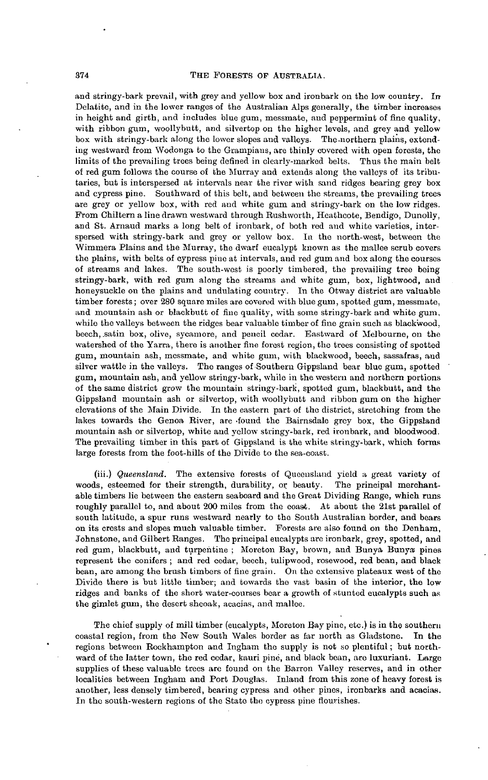and stringy-bark prevail, with grey and yellow box and ironbark on the low country. In Delatite, and in the lower ranges of the Australian Alps generally, the timber increases in height and girth, and includes blue gum, messmate, and peppermint of fine quality, with ribbon gum, woollybutt, and silvertop on the higher levels, and grey and yellow box with stringy-bark along the lower slopes and valleys. The-northern plains, extending westward from Wodonga to the Grampians, are thinly covered with open forests, the limits of the prevailing trees being defined in clearly-marked belts. Thus the main belt of red gum follows the course of the Murray and extends along the valleys of its tributaries, but is interspersed at intervals near the river with sand ridges bearing grey box and cypress pine. Southward of this belt, and between the streams, the prevailing trees are grey or yellow box, with red and white gum and stringy-bark on the low ridges. From Chiltern a line drawn westward through Bushworth, Heathcote, Bendigo, Dunolly, and St. Arnaud marks a long belt of ironbark, of both red and white varieties, interspersed with stringy-bark and grey or yellow box. la the north-west, between the Wimmera Plains and the Murray, the dwarf eucalypt known as the mallee scrub covers the plains, with belts of cypress pine at intervals, and red gum and box along the courses of streams and lakes. The south-west is poorly timbered, the prevailing tree being stringy-bark, with red gum along the streams and white gum, box, lightwood, and honeysuckle on the plains and undulating country. In the Otway district are valuable timber forests; over 280 square miles are covered with blue gum, spotted gum, messmate, and mountain ash or blackbutt of fine quality, with some stringy-bark and white gum, while the valleys between the ridges bear valuable timber of fine grain such as blackwood, beech, .satin box, olive, sycamore, and pencil cedar. Eastward of Melbourne, on the watershed of the Yarra, there is another *fine* forest region, the trees consisting of spotted gum, mountain ash, messmate, and white gum, with blackwood, beech, sassafras, and silver wattle in the valleys. The ranges of Southern Gippsland bear blue gum, spotted gum, mountain ash, and yellow stringy-bark, while in the western and northern portions of the same district grow the mountain stringy-bark, spotted gum, blackbutt, and the Gippsland mountain ash or silvertop, with woollybutt and ribbon gum on the higher elevations of the Main Divide. In the eastern part of the district, stretching from the lakes towards the Genoa River, are .found the Bairnsdale grey box, the Gippsland mountain ash or silvertop, white and yellow stringy-bark, red ironbark, and bloodwood. The prevailing timber in this part of Gippsland is the white stringy-bark, which forms large forests from the foot-hills of the Divide to the sea-coast.

(iii.) *Queensland*. The extensive forests of Queensland yield a great variety of ds, esteemed for their strength, durability, or beauty. The principal merchantwoods, esteemed for their strength, durability, or beauty. able timbers lie between the eastern seaboard and the Great Dividing Range, which runs roughly parallel to, and about 200 miles from the coast. At about the 21st parallel of south latitude, a spur runs westward nearly to the South Australian border, and bears on its crests and slopes much valuable timber. Forests are also found on the Denham, Johnstone, and Gilbert Ranges. The principal eucalypts arc ironbark, grey, spotted, and red gum, blackbutt, and turpentine ; Moretou Bay, brown, and Bunya Bunya pines represent the conifers ; and red cedar, beech, tulipwood, rosewood, red beau, and black bean, are among the brush timbers of fine grain. On the extensive plateaux west of the Divide there is but little timber; and towards the vast basin of the interior, the low ridges and banks of the short water-courses bear a growth of stunted eucalypts such as the gimlet gum, the desert sheoak, acacias, and mallee.

The chief supply of mill timber (eucalypts, Moreton Bay pine, etc.) is in the southern coastal region, from the New South Wales border as far north as Gladstone. In the regions between Rockhampton and Ingham the supply is not so plentiful; but northward of the latter town, the red cedar, kauri pine, and black bean, are luxuriant. Large supplies of these valuable trees are found on the Barron Valley reserves, and in other localities between Ingham and Port Douglas. Inland from this zone of heavy forest is another, less densely timbered, bearing cypress and other pines, ironbarks and acacias. In the south-western regions of the State the cypress pine flourishes.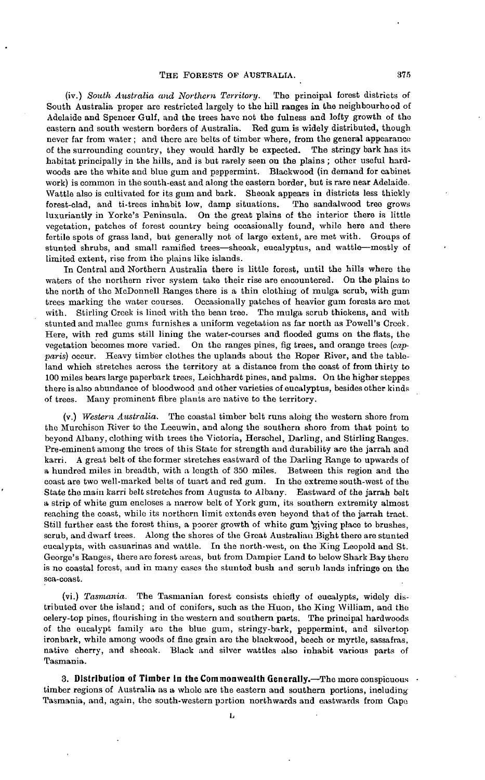(iv.) *South Australia and Northern Territory.* The principal forest districts of South Australia proper are restricted largely to the hill ranges in the neighbourhood of Adelaide and Spencer Gulf, and the trees have not the fulness and lofty growth of the eastern and south western borders of Australia. Red gum is widely distributed, though never far from water; and there are belts of timber where, from the general appearance of the surrounding country, they would hardly be expected. The stringy bark has its habitat principally in the hills, and is but rarely seen on the plains ; other useful hardwoods are the white and blue gum and peppermint. Blackwood (in demand for cabinet work) is common in the south-east and along the eastern border, but is rare near Adelaide. Wattle also is cultivated for its gum and bark. Sheoak appears in districts less thickly forest-clad, and ti-trees inhabit low, damp situations. The sandalwood tree grows forest-clad, and ti-trees inhabit low, damp situations. luxuriantly in Yorke's Peninsula. On the great plains of the interior there is little vegetation, patches of forest country being occasionally found, while here and there fertile spots of grass land, but generally not of large extent, are met with. Groups of stunted shrubs, and small ramified trees—sheoak, eucalyptus, and wattle—mostly of limited extent, rise from the plains like islands.

In Central and Northern Australia there is little forest, until the hills where the waters of the northern river system take their rise are encountered. On the plains to the north of the McDonnell Ranges there is a thin clothing of mulga scrub, with gum trees marking the water courses. Occasionally patches of heavier gum forests are met with. Stirling Creek is lined with the bean tree. The mulga scrub thickens, and with stunted and mallee gums furnishes a uniform vegetation as far north as Powell's Creek. Here, with red gums still lining the water-courses and flooded gums on the flats, the vegetation becomes more varied. On the ranges pines, fig trees, and orange trees *(capparis)* occur. Heavy timber clothes the uplands about the Roper River, and the tableland which stretches across the territory at a distance from the coast of from thirty to 100 miles bears large paperbark trees, Leichhardt pines, and palms. On the higher steppes there is also abundance of bloodwood and other varieties of eucalyptus, besides other kinds of trees. Many prominent fibre plants are native to the territory.

(v.) *Western Aiistralia.* The coastal timber belt runs along the western shore from the Murchison River to the Leeuwin, and along the southern shore from that point to beyond Albany, clothing with trees the Victoria, Herschel, Darling, and Stirling Ranges. Pre-eminent among the trees of this State for strength and durability are the jarrah and karri. A great belt of the former stretches eastward of the Darling Range to upwards of a hundred miles in breadth, with a length of 350 miles. Between this region and the coast are two well-marked belts of tuart and red gum. In the extreme south-west of the State the main karri belt stretches from Augusta to Albany. Eastward of the jarrah belt a strip of white gum encloses a narrow belt of York gum, its southern extremity almost reaching the coast, while its northern limit extends even beyond that of the jarrah tract. Still further east the forest thins, a poorer growth of white gum giving place to brushes, scrub, and dwarf trees. Along the shores of the Great Australian Bight there are stunted eucalypts, with casuarinas and wattle. In the north-west, on the King Leopold and St. George's Ranges, there are forest areas, but from Dampier Land to below Shark Bay there is no coastal forest, and in many cases the stunted bush and scrub lands infringe on the sea-coast.

(vi.) *Tasmania.* The Tasmanian forest consists chiefly of eucalypts, widely distributed over the island; and of conifers, such as the Huon, the King William, and the celery-top pines, flourishing in the western and southern parts. The principal hardwoods of the eucalypt family are the blue gum, stringy-bark, peppermint, and silvertop ironbark, while among woods of fine grain are the blackwood, beech or myrtle, sassafras, native cherry, and sheoak. Black and silver wattles also inhabit various parts of Tasmania.

**3. Distribution of Timber in the Commonwealth Generally.—The more conspicuous •** timber regions of Australia as a whole are the eastern and southern portions, including Tasmania, and, again, the south-western portion northwards and eastwards from Cape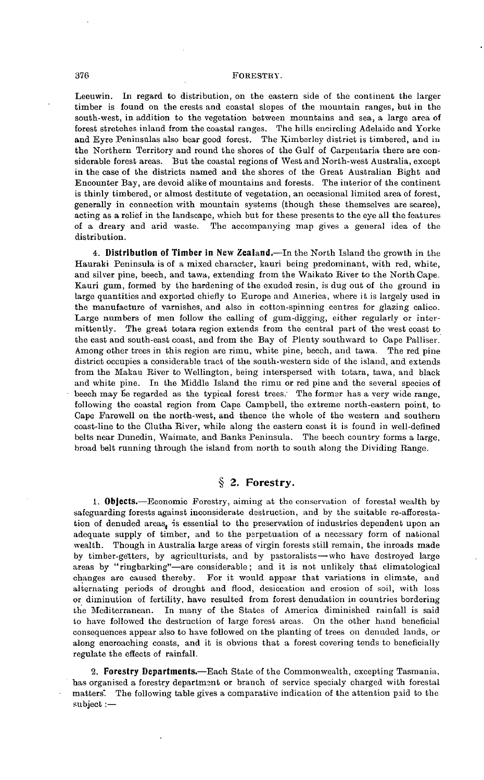#### 376 FORESTRY.

Leeuwin. In regard to distribution, on the eastern side of the continent the larger timber is found on the crests and coastal slopes of the mountain ranges, but in the south-west, in addition to the vegetation between mountains and sea, a large area of forest stretches inland from the coastal ranges. The hills encircling Adelaide and Yorke and Eyre Peninsulas also bear good forest. The Kimbsrley district is timbered, and in the Northern Territory and round the shores of the Gulf of Carpentaria there are considerable forest areas. But the coastal regions of West and North-west Australia, except in the case of the districts named and the shores of the Great Australian Bight and Encounter Bay, are devoid alike of mountains and forests. The interior of the continent is thinly timbered, or almost destitute of vegetation, an occasional limited area of forest, generally in connection with mountain systems (though these themselves are scarce), acting as a relief in the landscape, which but for these presents to the eye all the features of a dreary and arid waste. The accompanying map gives a general idea of the distribution.

**4. Distribution of Timber in New Zealand.**—In the North Island the growth in the Hauraki Peninsula is of a mixed character, kauri being predominant, with red, white, and silver pine, beech, and tawa, extending from the Waikato River to the North Cape. Kauri gum, formed by the hardening of the exuded resin, is dug out of the ground in large quantities and exported chiefly to Europe and America, where it is largely used in the manufacture of varnishes, and also in cotton-spinning centres for glazing calico. Large numbers of men follow the calling of gum-digging, either regularly or intermittently. The great totara region extends from the central part of the west coast to the east and south-east coast, and from the Bay of Plenty southward to Cape Palliser. Among other trees in this region are rimu, white pine, beech, and tawa. The red pine district occupies a considerable tract of the south-western side of the island, and extends from the Makau River to Wellington, being interspersed with totara, tawa, and black and white pine. In the Middle Island the rimu or red pine and the several species of beech may be regarded as the typical forest trees. The former has a very wide range, following the coastal region from Cape Campbell, the extreme north-eastern point, to Cape Farewell on the north-west, and thence the whole of the western and southern coast-line to the Clutha River, while along the eastern coast it is found in well-defined belts near Dunedin, Waimate, and Banks Peninsula. The beech country forms a large, broad belt running through the island from north to south along the Dividing Range.

# **§ 2. Forestry.**

**1. Objects.**—Economic Forestry, aiming at the conservation of forestal wealth by safeguarding forests against inconsiderate destruction, and by the suitable re-afforestation of denuded areas, is essential to the preservation of industries dependent upon an adequate supply of timber, and to the perpetuation of a necessary form of national wealth. Though in Australia large areas of virgin forests still remain, the inroads made by timber-getters, by agriculturists, and by pastoralists—-who have destroyed large areas by "riugbarking"—are considerable; and it is not unlikely that climatological changes are caused thereby. For it would appear that variations in climate, and alternating periods of drought and flood, desiccation and erosion of soil, with loss or diminution of fertility, have resulted from forest denudation in countries bordering the Mediterranean. In many of the States of America diminished rainfall is said to have followed the destruction of large forest areas. On the other hand beneficial consequences appear also to have followed on the planting of trees on denuded lands, or along encroaching coasts, and it is obvious that a forest covering tends to beneficially regulate the effects of rainfall.

**2. Forestry Departments.**—Each State of the Commonwealth, excepting Tasmania, has organised a forestry department or branch of service specialy charged with forestal matters. The following table gives a comparative indication of the attention paid to the subject:—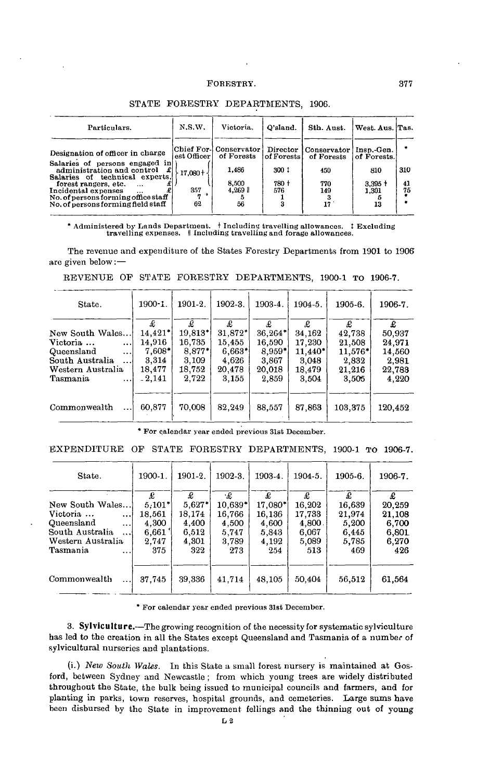| Particulars.                                                                                                                                                                                                   | N.S.W.                                | Victoria.                                                         | O'sland.                                                | Sth. Aust.                                     | West. Aus. Tas.                                        |                 |
|----------------------------------------------------------------------------------------------------------------------------------------------------------------------------------------------------------------|---------------------------------------|-------------------------------------------------------------------|---------------------------------------------------------|------------------------------------------------|--------------------------------------------------------|-----------------|
| Designation of officer in charge<br>Salaries of persons engaged in<br>£<br>administration and control<br>Salaries of technical experts,<br>forest rangers, etc.<br>$\cdots$<br>Incidental expenses<br>$\cdots$ | est Officer  <br>$-17.080 + -$<br>357 | Chief For- Conservator  <br>of Forests<br>1,486<br>8,500<br>4,269 | Director<br>$ $ of Forests $ $<br>300 1<br>780 +<br>576 | Conservator<br>of Forests<br>450<br>770<br>149 | Insp.-Gen.<br>of Forests.<br>810<br>$3.395 +$<br>1.301 | 310<br>41<br>75 |
| No. of persons forming office staff<br>No, of persons forming field staff                                                                                                                                      | 62                                    | 56                                                                |                                                         | 17                                             | 13                                                     |                 |

#### STATE FORESTRY DEPARTMENTS, 1906.

\* Administered by Lands Department. † Including travelling allowances. † Excluding travelling expenses. || Including travelling and forage allowances.

The revenue and expenditure of the States Forestry Departments from 1901 to 1906 are given below:—

|  |  | REVENUE OF STATE FORESTRY DEPARTMENTS, 1900-1 TO 1906-7. |  |  |
|--|--|----------------------------------------------------------|--|--|
|  |  |                                                          |  |  |

| State.                 | 1900-1.   | 1901-2.               | 1902-3. | 1903-4.  | 1904-5. | 1905-6.   | 1906-7. |
|------------------------|-----------|-----------------------|---------|----------|---------|-----------|---------|
|                        | £         | £                     | £       | £        | £       | £         | £       |
| New South Wales        | $14.421*$ | $19,813$ <sup>*</sup> | 31.872* | 36,264*  | 34,162  | 42,738    | 50,937  |
| Victoria<br>$\cdots$   | 14.916    | 16,735                | 15,455  | 16,590   | 17.230  | 21,508    | 24,971  |
| Queensland<br>$\cdots$ | $7,608*$  | $8,877*$              | 6,663"  | $8.959*$ | 11.440* | $11.576*$ | 14,560  |
| South Australia<br>    | 3,314     | 3.109                 | 4,626   | 3,867    | 3,048   | 2,832     | 2,981   |
| Western Australia      | 18.477    | 18,752                | 20,478  | 20,018   | 18,479  | 21,216    | 22,783  |
| Tasmania<br>$\cdots$   | $-2.141$  | 2,722                 | 3.155   | 2,859    | 3.504   | 3,505     | 4,220   |
| Commonwealth           | 60.877    | 70,008                | 82,249  | 88,557   | 87,863  | 103,375   | 120.452 |

\* For calendar year ended previous 31st December.

EXPENDITURE OP STATE FORESTRY DEPARTMENTS, 1900-1 TO 1906-7.

| State.                   | 1900-1.  | 1901-2.  | 1902-3.   | 1903-4. | 1904-5. | 1905-6. | 1906-7. |
|--------------------------|----------|----------|-----------|---------|---------|---------|---------|
|                          | £        | £        | ۰£        | £       | £       | £       | £       |
| New South Wales          | $5.101*$ | $5,627*$ | $10.639*$ | 17.080* | 16.202  | 16.639  | 20,259  |
| Victoria<br>$\cdots$     | 18,561   | 18.174   | 16,766    | 16,136  | 17.733  | 21,974  | 21,108  |
| Queensland<br>$\cdots$   | 4.300    | 4,400    | 4,500     | 4,600   | 4,800.  | 5,200   | 6,700   |
| South Australia<br>      | 6,661    | 6,512    | 5.747     | 5,843   | 6,067   | 6.445   | 6,801   |
| Western Australia        | 2.747    | 4,301    | 3,789     | 4.192   | 5,089   | 5,785   | 6.270   |
| Tasmania<br>.            | 375      | 322      | 273       | 254     | 513     | 469     | 426     |
| Commonwealth<br>$\cdots$ | 37.745   | 39,336   | 41,714    | 48.105  | 50,404  | 56,512  | 61,564  |

\* For calendar year ended previous 31st December.

**3. Sylviculture.**—The growing recognition of the necessity for systematic sylviculture has led to the creation in all the States except Queensland and Tasmania of a number of sylvicultural nurseries and plantations.

(i.) *New South Wales.* In this State a small forest nursery is maintained at Gosford, between Sydney and Newcastle ; from which young trees are widely distributed throughout the State, the bulk being issued to municipal councils and farmers, and for planting in parks, town reserves, hospital grounds, and cemeteries. Large sums have been disbursed by the State in improvement fellings and the thinning out of young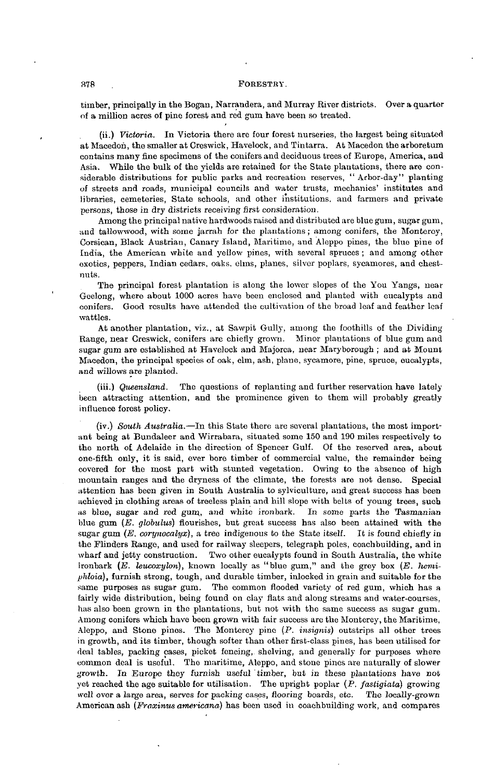#### 378 . FORESTRY.

timber, principally in the Bogan, Narraudera, and Murray River districts. Over a quarter of a million acres of pino forest and red gum have been so treated.

(ii.) *Victoria.* In Victoria there are four forest nurseries, the largest being situated at Macedon, the smaller at Creswick, Havelock, and Tintarra. At Macedoa the arboretum contains many fine specimens of the conifers and deciduous trees of Europe, America, and Asia. While the bulk of the yields are retained for the State plantations, there are considerable distributions for public parks and recreation reserves, " Arbor-day" planting of streets and roads, municipal councils and water trusts, mechanics' institutes and libraries, cemeteries, State schools, and other institutions, and farmers and private persons, those in dry districts receiving first consideration.

Among the principal native hardwoods raised and distributed are blue gum, sugar gum, and tallowwood, with some jarrah for the plantations ; among conifers, the Monterey, Corsican, Black Austrian, Canary Island, Maritime, and Aleppo pines, the blue pine of India, the American white and yellow pines, with several spruces ; and among other exotics, peppers, Indian cedars, oaks, elms, planes, silver poplars, sycamores, and chestnuts.

The principal forest plantation is along the lower slopes of the You Yangs, near Geelong, where about 1000 acres have been enclosed and planted with eucalypts and conifers. Good results have attended the cultivation of the broad leaf and feather leaf wattles.

At another plantation, viz., at Sawpit Gully, among the foothills of the Dividing Range, near Creswick, conifers are chiefly grown. Minor plantations of blue gum and sugar gum are established at Havelock and Majorca, near Maryborough ; and at Mount Macedon, the principal species of oak, elm, ash, plane, sycamore, pine, spruce, eucalypts, and willows are planted.

(iii.) *Queensland.* The questions of replanting and further reservation have lately been attracting attention, and the prominence given to them will probably greatly influence forest policy.

(iv.) *South Australia.*—In this State there are several plantations, the most important being at Bundaleer and Wirrabara, situated some 150 and 190 miles respectively to the north of Adelaide in the direction of Spencer Gulf. Of the reserved area, about one-fifth only, it is said, ever bore timber of commercial value, the remainder being covered for the most part with stunted vegetation. Owing to the absence of high mountain ranges and the dryness of the climate, the forests are not dense. Special attention has been given in South Australia to sylviculture, and great success has been achieved in clothing areas of treeless plain and hill slope with belts of young trees, such as blue, sugar and red gum., and white ironbark. In some parts the Tasmanian blue gum *(E. globulus)* flourishes, but great success has also been attained with the sugar gum  $(E, \text{corynocallyx})$ , a tree indigenous to the State itself. It is found chiefly in the Flinders Range, and used for railway sleepers, telegraph poles, coachbuilding, and in wharf and jetty construction. Two other eucalypts found in South Australia, the white ironbark (E. leucoxylon), known locally as "blue gum," and the grey box (E. hemi*phloia),* furnish strong, tough, and durable timber, inlocked in grain and suitable for the same purposes as sugar gum. The common flooded variety of red gum, which has a fairly wide distribution, being found on clay flats and along streams and water-courses, has also been grown in the plantations, but not with the same success as sugar gum. Among conifers which have been grown with fair success are the Monterey, the Maritime, Aleppo, and Stone pines. The Monterey pine (P. *insignis)* outstrips all other trees in growth, and its timber, though softer than other first-class pines, has been utilised for deal tables, packing cases, picket fencing, shelving, and generally for purposes where common deal is useful. The maritime, Aleppo, and stone pines are naturally of slower growth. In Europe they furnish useful timber, but in these plantations have not yet reached the age suitable for utilisation. The upright poplar (P. *fastigiata)* growing well over a large area, serves for packing cases, flooring boards, etc. The locally-grown American ash *(Fraxinus americana)* has been used in coachbuilding work, and compares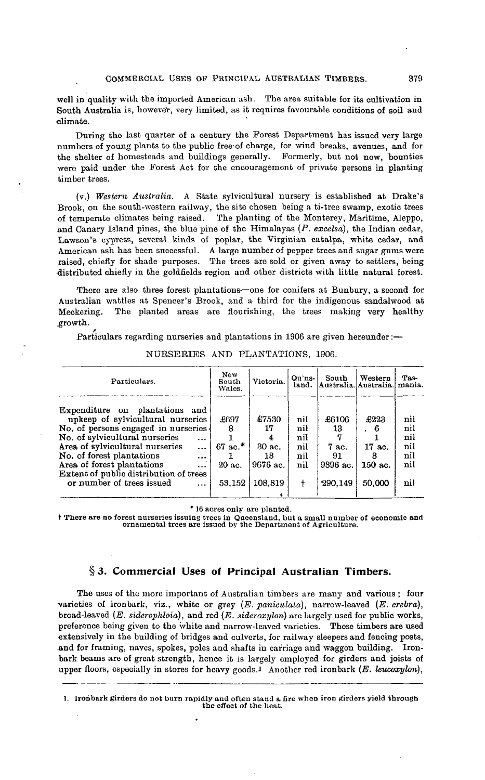well in quality with the imported American ash. The area suitable for its cultivation in South Australia is, however, very limited, as it requires favourable conditions of soil and climate.

During the last quarter of a century the Forest Department has issued very large numbers of young plants to the public free'of charge, for wind breaks, avenues, and for the shelter of homesteads and buildings generally. Formerly, but not now, bounties were paid under the Forest Act for the encouragement of private persons in planting timber trees.

(v.) Western Australia. A State sylvicultural nursery is established at Drake's Brook, on the south-western railway, the site chosen being a ti-tree swamp, exotic trees of temperate climates being raised. The planting of the Monterey, Maritime, Aleppo, and Canary Island pines, the blue pine of the Himalayas *(P. excelsa),* the Indian cedar, Lawson's cypress, several kinds of poplar, the Virginian catalpa, white cedar, and American ash has been successful. A large number of pepper trees and sugar gums were raised, chiefly for shade purposes. The trees are sold or given away to settlers, being distributed chiefly in the goldfields region and other districts with little natural forest.

There are also three forest plantations—one for conifers at Bunbury, a second for Australian wattles at Spencer's Brook, and a third for the indigenous sandalwood at Meckering. The planted areas are flourishing, the trees making very healthy growth.

*/* Particulars regarding nurseries and plantations in 1906 are given hereunder:—

| Particulars.                                                                                                                                                                                                                                                                                                                                                          | New<br>South<br>Wales.                 | Victoria.                                           | Qu'ns-<br>land.                             | South<br>Australia. Australia.                    | Western                                         | Tas-<br>mania.                                |
|-----------------------------------------------------------------------------------------------------------------------------------------------------------------------------------------------------------------------------------------------------------------------------------------------------------------------------------------------------------------------|----------------------------------------|-----------------------------------------------------|---------------------------------------------|---------------------------------------------------|-------------------------------------------------|-----------------------------------------------|
| Expenditure on plantations and<br>upkeep of sylvicultural nurseries<br>No. of persons engaged in nurseries<br>No. of sylvicultural nurseries<br>$\cdots$<br>Area of sylvicultural nurseries<br>$\cdots$<br>No. of forest plantations<br>$\cdots$<br>Area of forest plantations<br>$\cdots$<br>Extent of public distribution of trees<br>or number of trees issued<br> | £697<br>67 ac. $*$<br>20 ac.<br>53,152 | £7530<br>17<br>30 ac.<br>13.<br>9676 ac.<br>108,819 | nil<br>nil<br>nil<br>nil<br>nil<br>nil<br>t | £6106<br>13<br>7 ac.<br>91<br>9396 ac.<br>290,149 | £223<br>. 6<br>17 ac.<br>з<br>150 ac.<br>50,000 | nil<br>nil<br>nil<br>nil<br>nil<br>nil<br>nil |

NURSERIES AND PLANTATIONS, 1906.

\* 16 acres only are planted.

t There are no forest nurseries issuing trees in Queensland, but a small number of economic and ornamental trees are issued by the Department of Agriculture.

# **§3. Commercial Uses of Principal Australian Timbers.**

The uses of the more important of Australian timbers are many and various ; four varieties of ironbark, viz., white or grey *(E. paniculata),* narrow-leaved *(E. crebra),* broad-leaved *(E. siderophloia),* and red *(E. sidaroxylon)* arc largely used for public works, preference being given to the white and narrow-leaved varieties. These timbers are used extensively in the building of bridges and culverts, for railway sleepers and fencing posts, and for framing, naves, spokes, poles and shafts in carriage and waggon building. Ironbark beams are of great strength, hence it is largely employed for girders and joists of upper floors, especially in stores for heavy goods.l Another red ironbark *(E. leucoxylon),*

1. Ironbark girders do not burn rapidly and often stand a fire when iron girders yield through the effect of the heat.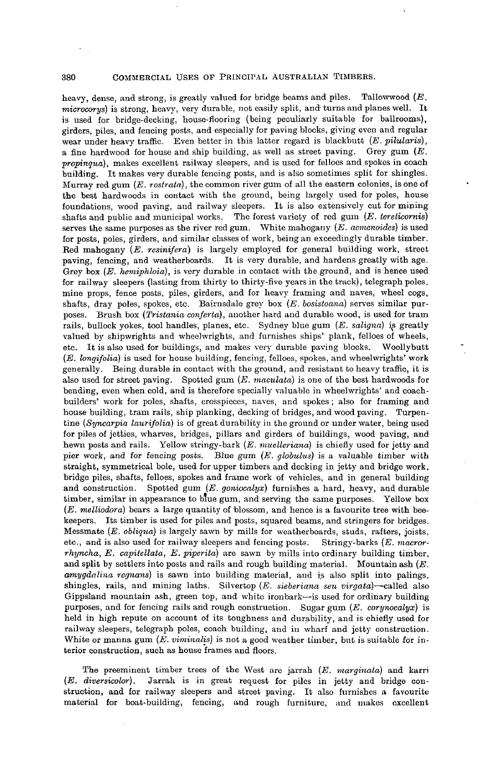380 COMMERCIAL USES OF PRINCIPAL, AUSTRALIAN TIMBERS.

heavy, dense, and strong, is greatly valued for bridge beams and piles. Tallowwood *(E. microcorys)* is strong, heavy, very durable, not easily split, and turns and planes well. It is used for bridge-decking, house-flooring (being peculiarly suitable for ballrooms), girders, piles, and fencing posts, and especially for paving blocks, giving even and regular wear under heavy traffic. Even better in this latter regard is blackbutt *(E. pilularis),* a fine hardwood for house and ship building, as well as street paving. Grey gum *(E. propinqua),* makes excellent railway sleepers, and is used for felloes and spokes in coach building. It makes very durable fencing posts, and is also sometimes split for shingles. Murray red gum *(E. rostrata),* the common river gum of all the eastern colonies, is one of the best hardwoods in contact with the ground, being largely used for poles, house foundations, wood paving, and railway sleepers. It is also extensively cut for mining shafts and public and municipal works. The forest variety of red gum *(E. tereticornis)* serves the same purposes as the river red gum. White mahogany *(E. acmenoides)* is used for posts, poles, girders, and similar classes of work, being an exceedingly durable timber. Bed mahogany *(E. resinifera)* is largely employed for general building work, street paving, fencing, and weatherboards. It is very durable, and hardens greatly with age. Grey box *(E. hemiphloia),* is very durable in contact with the ground, and is hence used for railway sleepers (lasting from thirty to thirty-five years in the track), telegraph poles, mine props, fence posts, piles, girders, and for heavy framing and naves, wheel cogs, shafts, dray poles, spokes, etc. Bairnsdale grey box (E. bosistoana) serves similar purposes. Brush box *(Tristania conferta),* another hard and durable wood, is used for tram rails, bullock yokes, tool handles, planes, etc. Sydney blue gum (E. saligna) is greatly valued by shipwrights and wheelwrights, and furnishes ships' plank, felloes of wheels, etc. It is also used for buildings, and makes very durable paving blocks. Woollybutt *(E. longifolia)* is used for house building, fencing, felloes, spokes, and wheelwrights' work generally. Being durable in contact with the ground, and resistant to heavy traffic, it is also used for street paving. Spotted gum *(E. maculata)* is one of the best hardwoods for bending, even when cold, and is therefore specially valuable in wheelwrights' and coachbuilders' work for poles, shafts, crosspieces, naves, and spokes ; also for framing and house building, tram rails, ship planking, decking of bridges, and wood paving. Turpentine *(Syncarpia laurifolia)* is of great durability in the ground or under water, being used for piles of jetties, wharves, bridges, pillars and girders of buildings, wood paving, and hewn posts and rails. Yellow stringy-bark *(E. muelleriand)* is chiefly used for jetty and pier work, and for fencing posts. Blue gum *(E. globulus)* is a valuable timber with straight, symmetrical bole, used for upper timbers and decking in jetty and bridge work, bridge piles, shafts, felloes, spokes and frame work of vehicles, and in general building and construction. Spotted gum *(E. goniocalyx)* furnishes a hard, heavy, and durable timber, similar in appearance to blue gum, and serving the same purposes. Yellow box *(E. melliodora)* bears a large quantity of blossom, and hence is a favourite tree with beekeepers. Its timber is used for piles and posts, squared beams, and stringers for bridges. Messmate *(E. obliqua)* is largely sawn by mills for weatherboards, studs, rafters, joists, etc., and is also used for railway sleepers and fencing posts. Stringy-barks *(E. macrorrhyncha, E. capitellata, E. pipcrita)* are sawn by mills into ordinary building timber, and split by settlers into posts and rails and rough building material. Mountain ash *(E. amygdalina regnans)* is sawn into building material, and is also split into palings, shingles, rails, and mining laths. Silvertop *(E. sieberiana seu virgata)*—called also Gippsland mountain ash, green top, and white ironbark—is used for ordinary building purposes, and for fencing rails and rough construction. Sugar gum *(E. corynocalyx)* is held in high repute on account of its toughness and durability, and is chiefly used for railway sleepers, telegraph poles, coach building, and in wharf and jetty construction. White or manna gum *(E. viminalis)* is not a good weather timber, but is suitable for interior construction, such as house frames and floors.

The preeminent timber trees of the West are jarrah *(E. marginata)* and karri *(E. diversicotor).* Jarrah is in great request for piles in jetty and bridge construction, and for railway sleepers and street paving. It also furnishes a favourite material for boat-building, fencing, and rough furniture, and makes excellent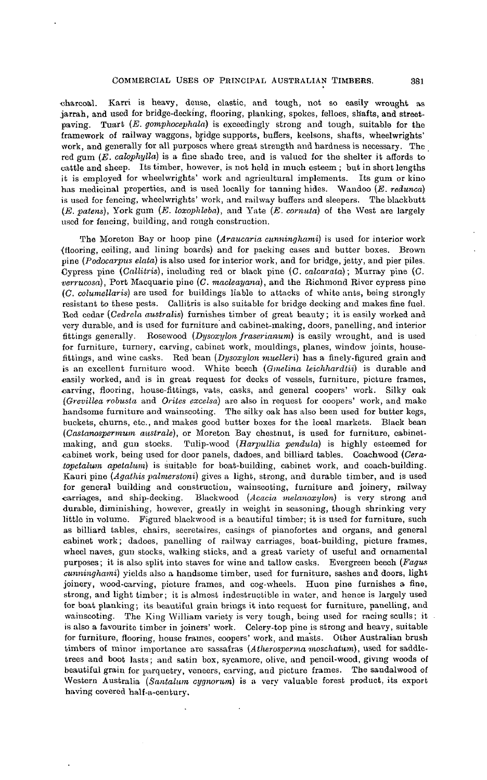charcoal. Karri is heavy, dense, elastic, and tough, not so easily wrought as jarrah, and used for bridge-decking, flooring, planking, spokes, felloes, shafts, and streetpaving. Tuart *(E. gomphocephala)* is exceedingly strong and tough, suitable for the framework of railway waggons, bridge supports, buffers, keelsons, shafts, wheelwrights' work, and generally for all purposes where great strength and hardness is necessary. The red gum *(E. calopliylla)* is a fine shade tree, and is valued for the shelter it affords to cattle and sheep. Its timber, however, is not held in much esteem ; but in short lengths it is employed for wheelwrights' work and agricultural implements. Its gum or kino has medicinal properties, and is used locally for tanning hides. Wandoo (E. *redunca*) is used for fencing, wheelwrights' work, and railway buffers and sleepers. The blackbutt *(E. patens),* York gum *(E. loxoplileba),* and Yate *(E. cornuta)* of the West are largely used for fencing, building, and rough construction.

The Moreton Bay or hoop pine *(Araucaria cunninghami)* is used for interior work {flooring, ceiling, and lining boards) and for packing cases and butter boxes. Brown pine *(Podocarpus elata)* is also used for interior work, and for bridge, jetty, and pier piles. Cypress pine *(Callitris),* including red or black pine (C. *calcarata)*; Murray pine (C. *•verrucosa),* Port Macquarie pine (C. *macleayana),* and the Richmond River cypress pine *(C. columellaris)* are used for buildings liable to attacks of white ants, being strongly resistant to these pests. Callitris is also suitable for bridge decking and makes fine fuel. Red cedar *(Cedrela australis)* furnishes timber of great beauty; it is easily worked and very durable, and is used for furniture and cabinet-making, doors, panelling, and interior fittings generally. Rosewood *(Dysoxylon fraserianum)* is easily wrought, and is used for furniture, turnery, carving, cabinet work, mouldings, planes, window joints, housefittings, and wine casks. Red bean *(Dysoxylon muelleri)* has a finely-figured grain and is an excellent furniture wood. White beech *(Gmelina leichhardtii)* is durable and -easily worked, and is in great request for decks of vessels, furniture, picture frames, carving, flooring, house-fittings, vats, casks, and general coopers' work. Silky oak *(Grevillea robusta* and *Orites excelsa)* are also in request for coopers' work, and make handsome furniture and wainscoting. The silky oak has also been used for butter kegs, buckets, churns, etc., and makes good butter boxes for the local markets. Black bean *(Castanospermum australe),* or Moreton Bay chestnut, is used for furniture, cabinetmaking, and gun stocks. Tulip-wood *(Harpullia pendula)* is highly esteemed for cabinet work, being used for door panels, dadoes, and billiard tables. Coachwood *(Ceratopetalum apetalum)* is suitable for boat-building, cabinet work, and coach-building. Kauri pine *(Agathis palmer stoni)* gives a light, strong, and durable timber, and is used for general building and construction, wainscoting, furniture and joinery, railway carriages, and ship-decking. Blackwood *(Acacia melanoxylon)* is very strong and durable, diminishing, however, greatly in weight in seasoning, though shrinking very little in volume. Figured blackwood is a beautiful timber; it is used for furniture, such as billiard tables, chairs, secretaires, casings of pianofortes and organs, and general cabinet work; dadoes, panelling of railway carriages, boat-building, picture frames, wheel naves, gun stocks, walking sticks, and a great variety of useful and ornamental purposes; it is also split into staves for wine and tallow casks. Evergreen beech *(Fagus cunninghami)* yields also a handsome timber, used for furniture, sashes and doors, light joinery, wood-carving, picture frames, and cog-wheels. Huon pine furnishes a fine, strong, and light timber; it is almost indestructible in water, and hence is largely used for boat planking; its beautiful grain brings it into request for furniture, panelling, and wainscoting. The King William variety is very tough, being used for racing sculls; it is also a favourite timber in joiners' work. Celery-top pine is strong and heavy, suitable for furniture, flooring, house frames, coopers' work, and masts. Other Australian brush timbers of minor importance are sassafras (Atherosperma moschatum), used for saddletrees and boot lasts; and satin box, sycamore, olive, and pencil-wood, giving woods of beautiful grain for parquetry, veneers, carving, and picture frames. The sandalwood of Western Australia *(Santalum cygnorum)* is a very valuable forest product, its export having covered half-a-century.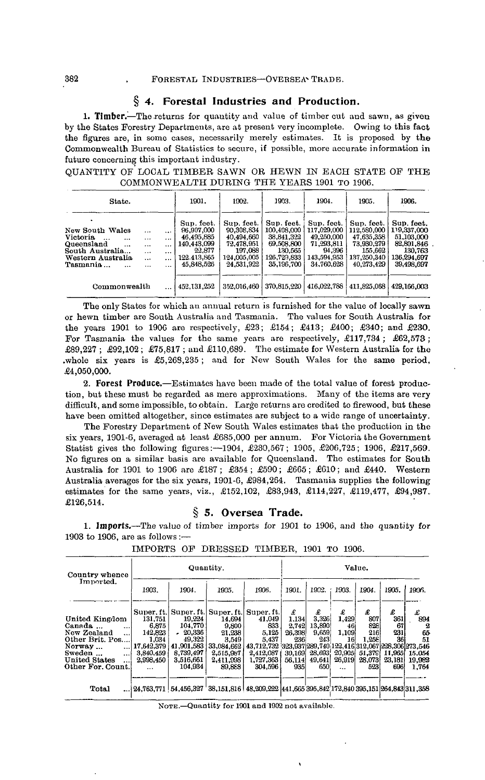## **§ 4. Forestal Industries and Production.**

1. Timber.—The returns for quantity and value of timber cut and sawn, as given by the States Forestry Departments, are at present very incomplete. Owing to this fact the figures are, in some cases, necessarily merely estimates. It is proposed by the Commonwealth Bureau of Statistics to secure, if possible, more accurate information in future concerning this important industry.

QUANTITY OF' LOCAL TIMBER SAWN OR HEWN IN EACH STATE OF THE COMMONWEALTH DURING THE YEARS 1901 TO 1906.

| State.                                                                                                                                               |                                                                        |                                                                      | 1901.                                                                                        | 1902.                                                                                        | 1903.                                                                                         | 1904.                                                                                        | 1905.                                                                                         | 1906.                                                                                         |
|------------------------------------------------------------------------------------------------------------------------------------------------------|------------------------------------------------------------------------|----------------------------------------------------------------------|----------------------------------------------------------------------------------------------|----------------------------------------------------------------------------------------------|-----------------------------------------------------------------------------------------------|----------------------------------------------------------------------------------------------|-----------------------------------------------------------------------------------------------|-----------------------------------------------------------------------------------------------|
| New South Wales<br><b>Victoria</b><br>$\cdots$<br>$\cdots$<br>Queensland<br>$\cdots$<br>South Australia<br>Western Australia<br>Tasmania<br>$\cdots$ | $\cdots$<br>$\cdots$<br>$\cdots$<br>$\cdots$<br>$\ddotsc$<br>$\ddotsc$ | $\cdots$<br>$\cdots$<br>$\cdots$<br>$\cdots$<br>$\cdots$<br>$\cdots$ | Sup. feet.<br>96,907,000<br>46.495.885<br>140.443.099<br>22.877<br>122.413.865<br>45.848.526 | Sup. feet.<br>90,308,834<br>40,494,660<br>72,478,951<br>197.088<br>124,005,005<br>24,531,922 | Sup. feet.<br>100.408.000<br>38.841.322<br>69,508,800<br>130.565<br>126.729.833<br>35.196.700 | Sup. feet.<br>117.029.000<br>49,250,000<br>71,293,811<br>94.396<br>143,594,953<br>34,760,628 | Sup. feet.<br>112,580,000<br>47.635.358<br>73,930,279<br>155.662<br>137,250,340<br>40.273.429 | Sup. feet.<br>119,337,000<br>51,103,000<br>82,801,846<br>130.763<br>136,294,697<br>39,498,697 |
| Commonwealth                                                                                                                                         |                                                                        | $\cdots$                                                             | 452, 131, 252                                                                                | 352.016.460                                                                                  | 370,815,220                                                                                   | 416.022.788                                                                                  | 411.825.068                                                                                   | 429.166.003                                                                                   |

The only States for which an annual return is furnished for the value of locally sawn or hewn timber are South Australia and Tasmania. The values for South Australia for the years 1901 to 190G are respectively, £23; £154; £413; £400; £340; and £230. For Tasmania the values for the same years are respectively, £117,734; £62,573; £89,227 ; £92,102 ; £75,817 ; and £110,689. The estimate for Western Australia for the .whole six years is £5,263,235 ; and for New South Wales for the same period, £4,050,000.

**2. Forest Produce.**—Estimates have been made of the total value of forest production, but these must be regarded as mere approximations. Many of the items are very difficult, and some impossible, to obtain. Large returns are credited to firewood, but these have been omitted altogether, since estimates are subject to a wide range of uncertainty.

The Forestry Department of New South Wales estimates that the production in the six years, 1901-6, averaged at least £685,000 per annum. For Victoria the Government Statist gives the following figures:—1904, £230,567; 1905, £206,725; 1906, £217,569. No figures on a similar basis are available for Queensland. The estimates for South Australia for 1901 to 1906 are £187 ; £354 ; £590; £665; £610; and £440. Western Australia averages for the six years, 1901-6, £984,264. Tasmania supplies the following estimates for the same years, viz., £152,102, £83,943, £114,227, £119,477, £94,987. £126,514.

## **§ 5. Oversea Trade.**

**1. Imports.—The** value of timber imports for 1901 to 1906, and the quantity for 1903 to 1906, are as follows :—

| Country whence                                                                         | Quantity.                                   |                                                                                                |                                            |                                           | Value.                  |                        |                       |                        |                |                                                                              |
|----------------------------------------------------------------------------------------|---------------------------------------------|------------------------------------------------------------------------------------------------|--------------------------------------------|-------------------------------------------|-------------------------|------------------------|-----------------------|------------------------|----------------|------------------------------------------------------------------------------|
| Imported.<br>1903.                                                                     |                                             | 1904.                                                                                          | 1905.                                      | 1901.<br>1906.                            |                         | 1902.                  | 1906                  | 1904.                  | 1905.          | 1906.                                                                        |
| United Kingdom<br>Canada<br>$\ddotsc$                                                  | Super, ft.<br>131.751<br>6,875              | 19.224<br>104,770                                                                              | Super. ft. Super. ft.<br>14.694<br>9,800   | Super. It.<br>41,049<br>833               | £<br>1.134<br>2.742     | £<br>3.326<br>13,890   | £<br>1,429<br>46      | £<br>807<br>828        | £<br>361<br>67 | £<br>894<br>2                                                                |
| New Zealand<br>$\cdots$<br>Other Brit. Pos<br>Norway<br>$\cdots$<br>Sweden<br>$\cdots$ | 142,823<br>1.034<br>17,642,379<br>3.840.459 | $-20.336$<br>49.322<br>41,901,583<br>8.739.497                                                 | 21.238<br>3,549<br>33,084,662<br>2,515,987 | 5,125<br>5.437<br>43.712.732<br>2,412,087 | 26,398<br>236<br>30.169 | 9.659<br>243<br>28.693 | 1,109<br>16<br>20,905 | 216<br>1.258<br>51.379 | 231<br>36      | 65<br>51<br>323,937 289,740 122,416 312,067 228,306 273,546<br>11,965 15,054 |
| United States<br>$\cdots$<br>Other For. Count.                                         | 2,998,450<br>$\cdots$                       | 3.516.661<br>104.934                                                                           | 2,411,998<br>89,888                        | 1.727.363<br>304.596                      | 56,114<br>9351          | 49,641<br>650          | 26,919<br>$\ddotsc$   | 28.073<br>523          | 23,181<br>696  | 19,982<br>1.764                                                              |
| Total                                                                                  |                                             | $ 24,763,771 54,456,327 38,151,816 48,209,222 441,665 395,842 172,840 395,151 264,843 311,358$ |                                            |                                           |                         |                        |                       |                        |                |                                                                              |

IMPORTS OF DRESSED TIMBER, 1901 TO 1906.

NOTE.—Quantity for 1901 and 1902 not available.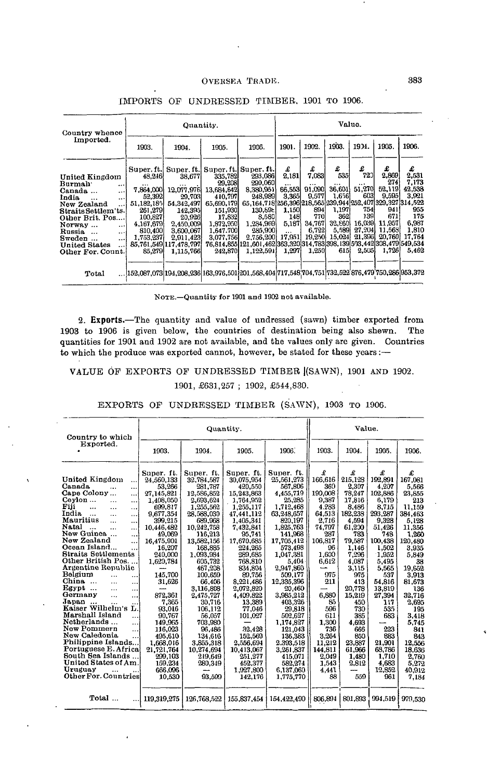| Country whence                    |            | Quantity.                                                                                                                                                                                                                         |            |                                                                        |          | Value.   |          |        |         |        |  |
|-----------------------------------|------------|-----------------------------------------------------------------------------------------------------------------------------------------------------------------------------------------------------------------------------------|------------|------------------------------------------------------------------------|----------|----------|----------|--------|---------|--------|--|
| Imported.                         | 1903.      | 1904.                                                                                                                                                                                                                             | 1905.      | 1906.                                                                  | 1901.    | 1902.    | 1903.    | 1904.  | 1905.   | 1906.  |  |
|                                   |            | Super. ft. Super. ft. Super. ft. Super. ft.                                                                                                                                                                                       |            |                                                                        | £        | £        | £        | £      | £       | £      |  |
| United Kingdom                    | 48.246     | 38.677                                                                                                                                                                                                                            | 335.782    | 293.086                                                                | 2.181    | 7,083    | 535      | 720    | 2,869   | 2,531  |  |
| Burmah :<br>                      |            | $\cdots$                                                                                                                                                                                                                          | 29,208     | 290.060                                                                |          | $\cdots$ | $\cdots$ |        | 2741    | 7.173  |  |
| Canada<br>$\ldots$                | 7,864,000  | 12.077.976                                                                                                                                                                                                                        | 13.684,642 | 8,380,951                                                              | 66.5531  | 91.090   | 36,601   | 51,270 | 52.119  | 42,538 |  |
| India<br>$\ddotsc$                | 52,392     | 29,703                                                                                                                                                                                                                            | 410,797    | 248,989                                                                | 3.365    | 9,577    | 1,656    | 603    | 9.5951  | 3.921  |  |
| New Zealand<br>                   | 51.182.185 | 54,342,497                                                                                                                                                                                                                        | 65.690,179 | 65,164,718 256,396 218,565 239,944 252,407 329,327 314,522             |          |          |          |        |         |        |  |
| Straits Settlem'ts.               | 261,279    | 142.395                                                                                                                                                                                                                           | 151,930    | 130,69t                                                                | 1.150    | 8941     | 1,197    | 754    | 9411    | 955    |  |
| Other Brit. Pos                   | 100.827    | 20,926                                                                                                                                                                                                                            | 17,832     | 8.580                                                                  | 148      | 770      | 3621     | 1391   | 671     | 175    |  |
| Norway<br>$\cdots$                | 4,167,679  | 2,450,009                                                                                                                                                                                                                         | 1,872,950  | 1,284,969                                                              | 5,187    | 34,767   | 32.660   | 16,039 | 11.957  | 6.987  |  |
| Russia<br>$\cdots$                | 810,400    | 3,600,067                                                                                                                                                                                                                         | 1.647.700  | 285,900                                                                | $\cdots$ | 6.722    | 5,589    | 27,204 | 11,569  | 1,810  |  |
| Sweden<br>$\ddotsc$               | 1.753.237  | 2,911,423                                                                                                                                                                                                                         | 3.077,756  | 2,756,200                                                              | 17,951   | 19,250   | 15.024   | 21.396 | 20.760. | 17,764 |  |
| <b>United States</b><br>$\ddotsc$ |            | 85,761,549 117,478,797                                                                                                                                                                                                            |            | 76,814,855 121,601,462 363,320 314,783 398,139 503,442 308,479 549,534 |          |          |          |        |         |        |  |
| Other For. Count.                 | 85,279     | 1,115,766                                                                                                                                                                                                                         | 242,870    | 1.122,591                                                              | 1,297    | 1,250    | 615      | 2,505  | 1,726   | 5,462  |  |
|                                   |            |                                                                                                                                                                                                                                   |            |                                                                        |          |          |          |        |         |        |  |
| Total                             |            | $\dots 152,087,073 194,208,236 163,976,501 201,568,404 717,548 704,751 732,522 876,479 750,286 953,372 82,373 83,404 717,548 704,751 732,522 876,479 750,286 953,372 84,373 85,474 95,475 95,479 750,479 750,479 750,479 750,479$ |            |                                                                        |          |          |          |        |         |        |  |

# IMPORTS OF UNDRESSED TIMBER, 1901 TO 1906.

NOTE.—Quantity for 1901 and 1902 not available.

**2. Exports.**—The quantity and value of undressed (sawn) timber exported from 1903 to 1906 is given below, the countries of destination being also shewn. The quantities for 1901 and 1902 are not available, and the values only are given. Countries to which the produce was exported cannot, however, be stated for these years :—

# VALUE OF EXPORTS OF UNDRESSED TIMBER |(SAWN), 1901 AND 1902. 1901, £631,257 ; 1902, £544,830.

EXPORTS OF UNDRESSED TIMBER (SAWN), 1903 TO 1906.

| Country to which                                                                                                                                                                                                                                                                                                                                                                                                                                                                                                                                                                                                                                                                                                                                                                                |                                                                                                                                                                                                                                                                                                                                              |                                                                                                                                                                                                                                                                                                                                                                    | Quantity.                                                                                                                                                                                                                                                                                                                                                             |                                                                                                                                                                                                                                                                                                                                                                                   |                                                                                                                                                                                                                                                   | Value.                                                                                                                                                                                                                                                           |                                                                                                                                                                                                                                                                       |                                                                                                                                                                                                                                                                                   |
|-------------------------------------------------------------------------------------------------------------------------------------------------------------------------------------------------------------------------------------------------------------------------------------------------------------------------------------------------------------------------------------------------------------------------------------------------------------------------------------------------------------------------------------------------------------------------------------------------------------------------------------------------------------------------------------------------------------------------------------------------------------------------------------------------|----------------------------------------------------------------------------------------------------------------------------------------------------------------------------------------------------------------------------------------------------------------------------------------------------------------------------------------------|--------------------------------------------------------------------------------------------------------------------------------------------------------------------------------------------------------------------------------------------------------------------------------------------------------------------------------------------------------------------|-----------------------------------------------------------------------------------------------------------------------------------------------------------------------------------------------------------------------------------------------------------------------------------------------------------------------------------------------------------------------|-----------------------------------------------------------------------------------------------------------------------------------------------------------------------------------------------------------------------------------------------------------------------------------------------------------------------------------------------------------------------------------|---------------------------------------------------------------------------------------------------------------------------------------------------------------------------------------------------------------------------------------------------|------------------------------------------------------------------------------------------------------------------------------------------------------------------------------------------------------------------------------------------------------------------|-----------------------------------------------------------------------------------------------------------------------------------------------------------------------------------------------------------------------------------------------------------------------|-----------------------------------------------------------------------------------------------------------------------------------------------------------------------------------------------------------------------------------------------------------------------------------|
| Exported.                                                                                                                                                                                                                                                                                                                                                                                                                                                                                                                                                                                                                                                                                                                                                                                       | 1903.                                                                                                                                                                                                                                                                                                                                        | 1904.                                                                                                                                                                                                                                                                                                                                                              | 1905.                                                                                                                                                                                                                                                                                                                                                                 | 1906.                                                                                                                                                                                                                                                                                                                                                                             | 1903.                                                                                                                                                                                                                                             | 1904.                                                                                                                                                                                                                                                            | 1905.                                                                                                                                                                                                                                                                 | 1906.                                                                                                                                                                                                                                                                             |
| United Kingdom<br><br>Canada<br>$\cdots$<br>Cape Colony<br>ا ، ، ،<br>Cevlon<br>.<br>$\cdots$<br>Fiji<br>$\ddotsc$<br>$\cdots$<br>$\cdots$<br>India<br><br>اءت<br>Mauritius<br>.<br>$\cdots$<br>Natal<br>$\cdots$<br>$\ldots$<br>New Guinea<br>$\ddotsc$<br>New Zealand<br>$\ddotsc$<br>Ocean Island<br><br>Straits Settlements<br>Other British Pos<br>Argentine Republic<br>Belgium<br>$\cdots$<br><br>China<br>$\cdots$<br><br>Egypt<br><br>$\cdots$<br>Germany<br>$\dddot{\phantom{0}}$<br><br>Japan<br>$\overline{\phantom{a}}$<br>$\cdots$<br><br>Kaiser Wilhelm's<br>L.<br>Marshall Island<br><br>Netherlands<br><br>New Pommern<br><br>New Caledonia<br>.<br>Philippine Islands<br>Portuguese E. Africa<br>South Sea Islands<br>United States of Am.<br>Uruguay<br>Other For. Countries | Super. ft.<br>24,560,133<br>53,266<br>27,145,821<br>1,408,050<br>699.817<br>9,677,354<br>399.215<br>10,446,482<br>49,069<br>16.475,901<br>16.207<br>240,000<br>1,620,784<br>145.700<br>31,626<br>872.361<br>7.365<br>93.016<br>90.767<br>149,965<br>116.023<br>495.610<br>1,668,016<br>21,721,764<br>299.103<br>159.234<br>666.096<br>10.530 | Super, ft.<br>32.784.587<br>281.787<br>12,586,852<br>2,693,624<br>1,255,562<br>28,588,030<br>689.968<br>10,242,758<br>116,213<br>13,582,156<br>168.885<br>1.093.984<br>605,732<br>467,208<br>100.659<br>66.406<br>3,116,808<br>2,475,727<br>30.716<br>106,112<br>56.057<br>703.980<br>96,486<br>134,616<br>3.855.318<br>10.274.694<br>219.649<br>280,349<br>93,599 | Super. ft.<br>30.075.954<br>420,550<br>15,243,863<br>1,764,952<br>1.255,117<br>47,441,112<br>1.405.341<br>7,432,841<br>95,741<br>17,670,685<br>224,265<br>289,685<br>768,810<br>834,804<br>89,756<br>8.221.486<br>2,072,820<br>4.409,822<br>13.389<br>77.046<br>101.027<br>32.428<br>152,569<br>2.556.694<br>10,413,067<br>251.277<br>452.377<br>1,927,800<br>142,176 | Super. ft.<br>25.561.273<br>567,806<br>4,455,719<br>25.285<br>1.712.468<br>63,248,657<br>820,197<br>1,825,763<br>141.968<br>17,705,412<br>573.498<br>1.047.381<br>5.404<br>2.947.860<br>509.177<br>12.335.396<br>20,460<br>3.985.212<br>403,326<br>29.818<br>502.627<br>1,174,827<br>121,043<br>136,383<br>2.393,518<br>3.261.837<br>415.071<br>582,274<br>6.137.060<br>1.775.770 | £<br>166,616<br>360<br>190.008<br>9.387<br>4.283<br>64.513<br>2.716<br>74,797<br>287<br>106,817<br>96<br>1.600<br>6.612<br>975<br>211<br>6,880<br>85<br>596<br>611<br>1.300<br>736<br>3,264<br>11.212<br>144.811<br>2.049<br>1.543<br>4.441<br>88 | £<br>215,128<br>2.307<br>78.247<br>17.816<br>8.486<br>182,238<br>4.594<br>61,200<br>783<br>79.587<br>1.146<br>7.296<br>4,087<br>3,115<br>975<br>413<br>20.778<br>15.219<br>450<br>730<br>385<br>4.693<br>666<br>850<br>23.887<br>61.966<br>1.480<br>2.812<br>559 | £<br>192,891<br>4.207<br>102.886<br>6.179<br>8.715<br>293,287<br>9.328<br>51,426<br>748<br>100.438<br>1.502<br>1.952<br>5,495<br>5.565<br>537<br>54,816<br>13,819<br>27.394<br>117<br>535<br>683<br>223<br>883<br>21,901<br>68.786<br>1.710<br>4.683<br>12.852<br>961 | £<br>167.081<br>5.566<br>23,855<br>213<br>11.159<br>384,463<br>5.128<br>11,356<br>1,260<br>120,480<br>3,935<br>5,849<br>38<br>19.652<br>3.913<br>81.673<br>136<br>32.716<br>2.695<br>195<br>3.418<br>5,745<br>841<br>843<br>12.556<br>18.636<br>2,760<br>5,272<br>40.912<br>7,184 |
| Total<br>. I                                                                                                                                                                                                                                                                                                                                                                                                                                                                                                                                                                                                                                                                                                                                                                                    | 119.319.275                                                                                                                                                                                                                                                                                                                                  | 126,768,522                                                                                                                                                                                                                                                                                                                                                        | 155.837.454                                                                                                                                                                                                                                                                                                                                                           | 154.422.490                                                                                                                                                                                                                                                                                                                                                                       | 806.894                                                                                                                                                                                                                                           | 801.893                                                                                                                                                                                                                                                          | 994,519                                                                                                                                                                                                                                                               | 979,530                                                                                                                                                                                                                                                                           |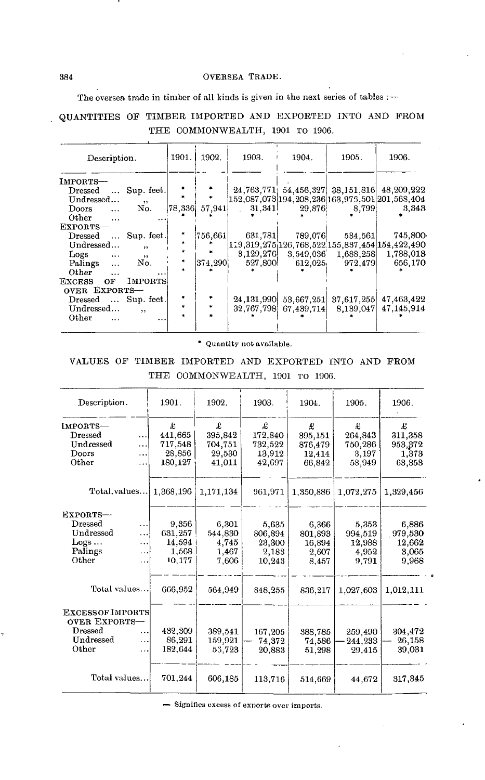#### 384 OVERSEA TRADE.

The oversea trade in timber of all kinds is given in the next series of tables :-

# QUANTITIES OP TIMBER IMPORTED AND EXPORTED INTO AND PROM THE COMMONWEALTH, 1901 TO 1906.

| Description.                                                                                                                                                                                                                                                                                                                    |                                                                                                       | 1901.                                                         | 1902.                                  | 1903.                                                                 | 1904.                                                                 | 1905.                                                               | 1906.                                                                                                                                                                                                                                 |
|---------------------------------------------------------------------------------------------------------------------------------------------------------------------------------------------------------------------------------------------------------------------------------------------------------------------------------|-------------------------------------------------------------------------------------------------------|---------------------------------------------------------------|----------------------------------------|-----------------------------------------------------------------------|-----------------------------------------------------------------------|---------------------------------------------------------------------|---------------------------------------------------------------------------------------------------------------------------------------------------------------------------------------------------------------------------------------|
| <b>IMPORTS-</b><br>$\bold{D}{\mathrm{ressed}}$<br>$\cdots$<br>Undressed<br><b>Doors</b><br>$\ddotsc$<br>Other<br>$\cdots$<br>Exports—<br>$\bold{D}{\mathrm{ressed}}$<br>$\cdots$<br>Undressed<br>Logs<br>$\cdots$<br>Palings<br>$\cdots$<br>Other<br>EXCESS<br>OF<br>OVER EXPORTS-<br>$\bold{Dressed}$<br>$\cdots$<br>Undressed | Sup. feet.<br>$22 -$<br>No.<br>Sup. feet.<br>, ,<br>, ,<br>No.<br><b>IMPORTS</b><br>Sup. feet.<br>, , | $\ast$<br>$\left  78,336 \right $<br>*<br>*<br>sk.<br>$\star$ | 57.941<br>756,661<br>$ 374,290\rangle$ | 31,341<br>631,781<br>3.129.276<br>527,800<br>24.131,990<br>32,767,798 | 29,876<br>789.076<br>3.549.036<br>612.025<br>53.667.251<br>67,439,714 | 8,799<br>534,561<br>1,688,258<br>972,479<br>37.617.255<br>8,139,047 | 24,763,771; 54,456,327; 38,151,816; 48,209,222<br>152,087,073 194,208,236 163,975,501 201,568,404<br>3,343<br>745,800<br>119, 319, 275 126, 768, 522, 155, 837, 454 154, 422, 490<br>1,738,013<br>656,170<br>47.463.422<br>47.145,914 |
| Other                                                                                                                                                                                                                                                                                                                           | .                                                                                                     | ×.                                                            |                                        |                                                                       |                                                                       |                                                                     |                                                                                                                                                                                                                                       |

\* Quantity not available.

VALUES OP TIMBER IMPORTED AND EXPORTED INTO AND PROM THE COMMONWEALTH, 1901 TO 1906.

| Description.                                                                            |                                    | 1901.                                         | 1902.                                       | 1903.                                         | 1904.                                        | 1905.                                        | 1906.                                        |
|-----------------------------------------------------------------------------------------|------------------------------------|-----------------------------------------------|---------------------------------------------|-----------------------------------------------|----------------------------------------------|----------------------------------------------|----------------------------------------------|
| IMPORTS-<br>Dressed<br>Undressed<br>Doors<br>Other                                      | .<br><br><br>                      | £<br>441.665<br>717,548<br>28,856<br>180,127  | £<br>395,842<br>704.751<br>29,530<br>41,011 | £<br>172,840<br>732,522<br>13,912<br>42,697   | £<br>395,151<br>876,479<br>12.414<br>66,842  | £<br>264,843<br>750,286<br>3,197<br>53,949   | £<br>311,358<br>953,372<br>1,373<br>63,353   |
| Total, values                                                                           |                                    | 1,368,196                                     | 1,171,134                                   | 961,971                                       | 1,350,886                                    | 1.072,275                                    | 1,329,456                                    |
| EXPORTS-<br>Dressed<br>Undressed<br>Logs<br>Palings<br>Other                            | .<br>.<br>.<br>.<br>$\ddotsc$      | 9,356<br>631,257<br>14.594<br>1.568<br>10,177 | 6.301<br>544,830<br>4.745<br>1,467<br>7,606 | 5.635<br>806,894<br>23,300<br>2,183<br>10,243 | 6,366<br>801.893<br>16,894<br>2,607<br>8,457 | 5,353<br>994,519<br>12,988<br>4,952<br>9.791 | 6.886<br>979,530<br>12,662<br>3,065<br>9,968 |
| Total values!                                                                           |                                    | 666.952                                       | 564,949                                     | 848,255                                       | 836,217                                      | 1,027,603                                    | 1,012,111                                    |
| <b>EXCESSOF IMPORTS</b><br><b>OVER EXPORTS-</b><br><b>Dressed</b><br>Undressed<br>Other | $\ddotsc$<br>$\ddotsc$<br>$\cdots$ | 432,309<br>86,291<br>182,644                  | 389.541<br>159,921<br>55,723                | 167.205<br>74,372<br>20,883                   | 388,785<br>74,586<br>51,298                  | 259,490<br>244,233<br>29,415                 | 304,472<br>26,158<br>39,031                  |
| Total values                                                                            |                                    | 701,244                                       | 606,185                                     | 113,716                                       | 514,669                                      | 44.672                                       | 317, 345                                     |

— Signifies excess of exports over imports.

 $\overline{1}$